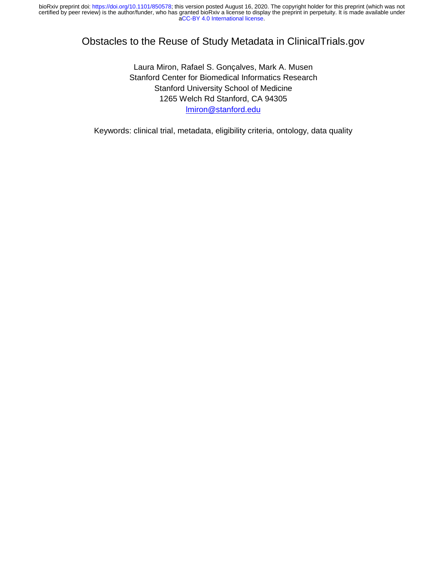# Obstacles to the Reuse of Study Metadata in ClinicalTrials.gov

Laura Miron, Rafael S. Gonçalves, Mark A. Musen Stanford Center for Biomedical Informatics Research Stanford University School of Medicine 1265 Welch Rd Stanford, CA 94305 lmiron@stanford.edu

Keywords: clinical trial, metadata, eligibility criteria, ontology, data quality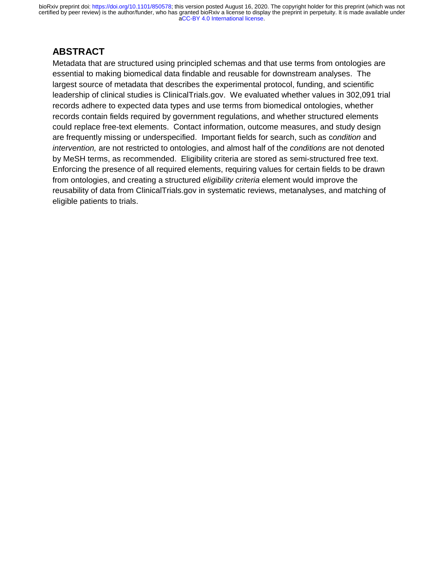# **ABSTRACT**

Metadata that are structured using principled schemas and that use terms from ontologies are essential to making biomedical data findable and reusable for downstream analyses. The largest source of metadata that describes the experimental protocol, funding, and scientific leadership of clinical studies is ClinicalTrials.gov. We evaluated whether values in 302,091 trial records adhere to expected data types and use terms from biomedical ontologies, whether records contain fields required by government regulations, and whether structured elements could replace free-text elements. Contact information, outcome measures, and study design are frequently missing or underspecified. Important fields for search, such as c*ondition* and *intervention,* are not restricted to ontologies, and almost half of the *conditions* are not denoted by MeSH terms, as recommended. Eligibility criteria are stored as semi-structured free text. Enforcing the presence of all required elements, requiring values for certain fields to be drawn from ontologies, and creating a structured *eligibility criteria* element would improve the reusability of data from ClinicalTrials.gov in systematic reviews, metanalyses, and matching of eligible patients to trials.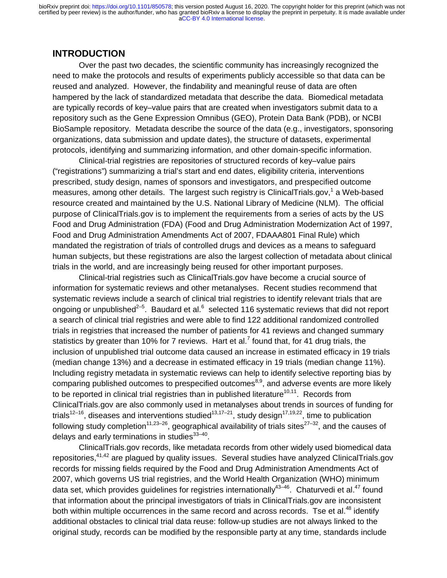### **INTRODUCTION**

 Over the past two decades, the scientific community has increasingly recognized the need to make the protocols and results of experiments publicly accessible so that data can be reused and analyzed. However, the findability and meaningful reuse of data are often hampered by the lack of standardized metadata that describe the data. Biomedical metadata are typically records of key–value pairs that are created when investigators submit data to a repository such as the Gene Expression Omnibus (GEO), Protein Data Bank (PDB), or NCBI BioSample repository. Metadata describe the source of the data (e.g., investigators, sponsoring organizations, data submission and update dates), the structure of datasets, experimental protocols, identifying and summarizing information, and other domain-specific information.

Clinical-trial registries are repositories of structured records of key–value pairs ("registrations") summarizing a trial's start and end dates, eligibility criteria, interventions prescribed, study design, names of sponsors and investigators, and prespecified outcome measures, among other details. The largest such registry is ClinicalTrials.gov,<sup>1</sup> a Web-based resource created and maintained by the U.S. National Library of Medicine (NLM). The official purpose of ClinicalTrials.gov is to implement the requirements from a series of acts by the US Food and Drug Administration (FDA) (Food and Drug Administration Modernization Act of 1997, Food and Drug Administration Amendments Act of 2007, FDAAA801 Final Rule) which mandated the registration of trials of controlled drugs and devices as a means to safeguard human subjects, but these registrations are also the largest collection of metadata about clinical trials in the world, and are increasingly being reused for other important purposes.

Clinical-trial registries such as ClinicalTrials.gov have become a crucial source of information for systematic reviews and other metanalyses. Recent studies recommend that systematic reviews include a search of clinical trial registries to identify relevant trials that are ongoing or unpublished<sup>2–5</sup>. Baudard et al.<sup>6</sup> selected 116 systematic reviews that did not report a search of clinical trial registries and were able to find 122 additional randomized controlled trials in registries that increased the number of patients for 41 reviews and changed summary statistics by greater than 10% for 7 reviews. Hart et al.<sup>7</sup> found that, for 41 drug trials, the inclusion of unpublished trial outcome data caused an increase in estimated efficacy in 19 trials (median change 13%) and a decrease in estimated efficacy in 19 trials (median change 11%). Including registry metadata in systematic reviews can help to identify selective reporting bias by comparing published outcomes to prespecified outcomes<sup>8,9</sup>, and adverse events are more likely to be reported in clinical trial registries than in published literature<sup>10,11</sup>. Records from ClinicalTrials.gov are also commonly used in metanalyses about trends in sources of funding for trials<sup>12–16</sup>, diseases and interventions studied<sup>13,17–21</sup>, study design<sup>17,19,22</sup>, time to publication following study completion<sup>11,23–26</sup>, geographical availability of trials sites<sup>27–32</sup>, and the causes of delays and early terminations in studies $33-40$ .

 ClinicalTrials.gov records, like metadata records from other widely used biomedical data repositories,<sup>41,42</sup> are plagued by quality issues. Several studies have analyzed ClinicalTrials.gov records for missing fields required by the Food and Drug Administration Amendments Act of 2007, which governs US trial registries, and the World Health Organization (WHO) minimum data set, which provides guidelines for registries internationally<sup>43-46</sup>. Chaturvedi et al.<sup>47</sup> found that information about the principal investigators of trials in ClinicalTrials.gov are inconsistent both within multiple occurrences in the same record and across records. Tse et al.<sup>48</sup> identify additional obstacles to clinical trial data reuse: follow-up studies are not always linked to the original study, records can be modified by the responsible party at any time, standards include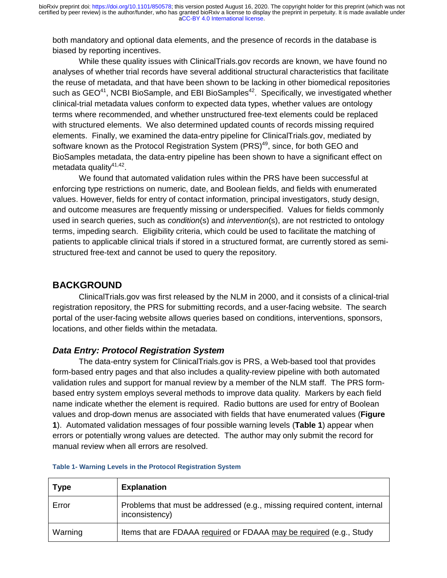both mandatory and optional data elements, and the presence of records in the database is biased by reporting incentives.

 While these quality issues with ClinicalTrials.gov records are known, we have found no analyses of whether trial records have several additional structural characteristics that facilitate the reuse of metadata, and that have been shown to be lacking in other biomedical repositories such as  $GEO^{41}$ , NCBI BioSample, and EBI BioSamples<sup>42</sup>. Specifically, we investigated whether clinical-trial metadata values conform to expected data types, whether values are ontology terms where recommended, and whether unstructured free-text elements could be replaced with structured elements. We also determined updated counts of records missing required elements. Finally, we examined the data-entry pipeline for ClinicalTrials.gov, mediated by software known as the Protocol Registration System (PRS)<sup>49</sup>, since, for both GEO and BioSamples metadata, the data-entry pipeline has been shown to have a significant effect on metadata quality<sup>41,42</sup>.

We found that automated validation rules within the PRS have been successful at enforcing type restrictions on numeric, date, and Boolean fields, and fields with enumerated values. However, fields for entry of contact information, principal investigators, study design, and outcome measures are frequently missing or underspecified. Values for fields commonly used in search queries, such as *condition*(s) and *intervention*(s), are not restricted to ontology terms, impeding search. Eligibility criteria, which could be used to facilitate the matching of patients to applicable clinical trials if stored in a structured format, are currently stored as semistructured free-text and cannot be used to query the repository.

### **BACKGROUND**

ClinicalTrials.gov was first released by the NLM in 2000, and it consists of a clinical-trial registration repository, the PRS for submitting records, and a user-facing website. The search portal of the user-facing website allows queries based on conditions, interventions, sponsors, locations, and other fields within the metadata.

#### *Data Entry: Protocol Registration System*

 The data-entry system for ClinicalTrials.gov is PRS, a Web-based tool that provides form-based entry pages and that also includes a quality-review pipeline with both automated validation rules and support for manual review by a member of the NLM staff. The PRS formbased entry system employs several methods to improve data quality. Markers by each field name indicate whether the element is required. Radio buttons are used for entry of Boolean values and drop-down menus are associated with fields that have enumerated values (**Figure 1**). Automated validation messages of four possible warning levels (**Table 1**) appear when errors or potentially wrong values are detected. The author may only submit the record for manual review when all errors are resolved.

| <b>Type</b> | <b>Explanation</b>                                                                          |
|-------------|---------------------------------------------------------------------------------------------|
| Error       | Problems that must be addressed (e.g., missing required content, internal<br>inconsistency) |
| Warning     | Items that are FDAAA required or FDAAA may be required (e.g., Study                         |

#### **Table 1- Warning Levels in the Protocol Registration System**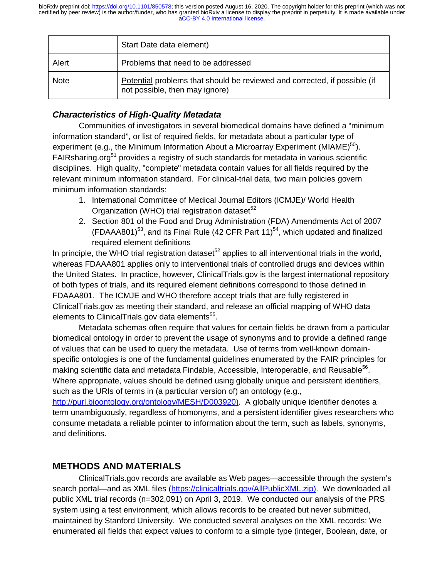|             | Start Date data element)                                                                                    |
|-------------|-------------------------------------------------------------------------------------------------------------|
| Alert       | Problems that need to be addressed                                                                          |
| <b>Note</b> | Potential problems that should be reviewed and corrected, if possible (if<br>not possible, then may ignore) |

### *Characteristics of High-Quality Metadata*

Communities of investigators in several biomedical domains have defined a "minimum information standard", or list of required fields, for metadata about a particular type of experiment (e.g., the Minimum Information About a Microarray Experiment (MIAME)<sup>50</sup>). FAIRsharing.org<sup>51</sup> provides a registry of such standards for metadata in various scientific disciplines. High quality, "complete" metadata contain values for all fields required by the relevant minimum information standard. For clinical-trial data, two main policies govern minimum information standards:

- 1. International Committee of Medical Journal Editors (ICMJE)/ World Health Organization (WHO) trial registration dataset $52$
- 2. Section 801 of the Food and Drug Administration (FDA) Amendments Act of 2007  $(FDAAA801)^{53}$ , and its Final Rule (42 CFR Part 11)<sup>54</sup>, which updated and finalized required element definitions

In principle, the WHO trial registration dataset<sup>52</sup> applies to all interventional trials in the world, whereas FDAAA801 applies only to interventional trials of controlled drugs and devices within the United States. In practice, however, ClinicalTrials.gov is the largest international repository of both types of trials, and its required element definitions correspond to those defined in FDAAA801. The ICMJE and WHO therefore accept trials that are fully registered in ClinicalTrials.gov as meeting their standard, and release an official mapping of WHO data elements to ClinicalTrials.gov data elements<sup>55</sup>.

Metadata schemas often require that values for certain fields be drawn from a particular biomedical ontology in order to prevent the usage of synonyms and to provide a defined range of values that can be used to query the metadata. Use of terms from well-known domainspecific ontologies is one of the fundamental guidelines enumerated by the FAIR principles for making scientific data and metadata Findable, Accessible, Interoperable, and Reusable<sup>56</sup>. Where appropriate, values should be defined using globally unique and persistent identifiers, such as the URIs of terms in (a particular version of) an ontology (e.g.,

http://purl.bioontology.org/ontology/MESH/D003920). A globally unique identifier denotes a term unambiguously, regardless of homonyms, and a persistent identifier gives researchers who consume metadata a reliable pointer to information about the term, such as labels, synonyms, and definitions.

## **METHODS AND MATERIALS**

ClinicalTrials.gov records are available as Web pages—accessible through the system's search portal—and as XML files (https://clinicaltrials.gov/AllPublicXML.zip). We downloaded all public XML trial records (n=302,091) on April 3, 2019. We conducted our analysis of the PRS system using a test environment, which allows records to be created but never submitted, maintained by Stanford University. We conducted several analyses on the XML records: We enumerated all fields that expect values to conform to a simple type (integer, Boolean, date, or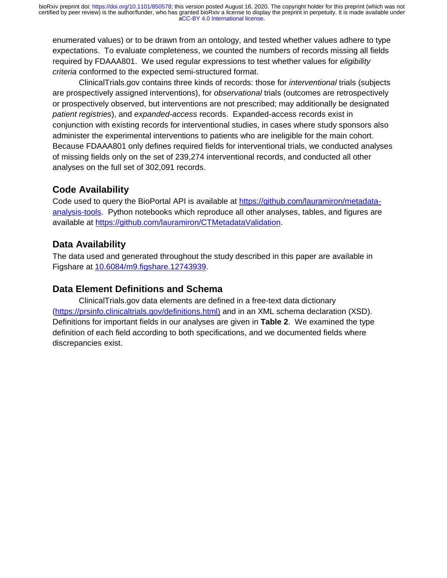enumerated values) or to be drawn from an ontology, and tested whether values adhere to type expectations. To evaluate completeness, we counted the numbers of records missing all fields required by FDAAA801. We used regular expressions to test whether values for *eligibility criteria* conformed to the expected semi-structured format.

 ClinicalTrials.gov contains three kinds of records: those for *interventional* trials (subjects are prospectively assigned interventions), for *observational* trials (outcomes are retrospectively or prospectively observed, but interventions are not prescribed; may additionally be designated *patient registries*), and *expanded-access* records. Expanded-access records exist in conjunction with existing records for interventional studies, in cases where study sponsors also administer the experimental interventions to patients who are ineligible for the main cohort. Because FDAAA801 only defines required fields for interventional trials, we conducted analyses of missing fields only on the set of 239,274 interventional records, and conducted all other analyses on the full set of 302,091 records.

## **Code Availability**

Code used to query the BioPortal API is available at https://github.com/lauramiron/metadataanalysis-tools. Python notebooks which reproduce all other analyses, tables, and figures are available at https://github.com/lauramiron/CTMetadataValidation.

## **Data Availability**

The data used and generated throughout the study described in this paper are available in Figshare at 10.6084/m9.figshare.12743939.

## **Data Element Definitions and Schema**

ClinicalTrials.gov data elements are defined in a free-text data dictionary (https://prsinfo.clinicaltrials.gov/definitions.html) and in an XML schema declaration (XSD). Definitions for important fields in our analyses are given in **Table 2**. We examined the type definition of each field according to both specifications, and we documented fields where discrepancies exist.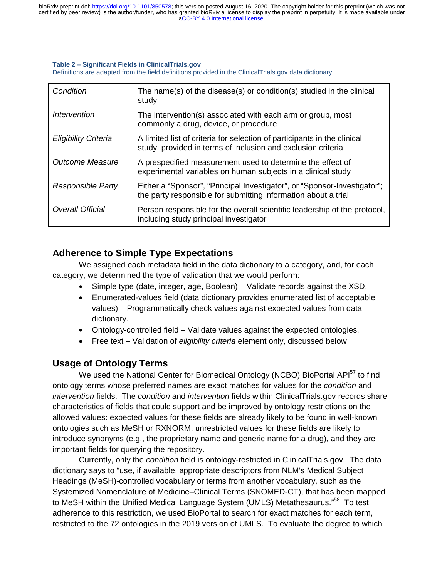#### **Table 2 – Significant Fields in ClinicalTrials.gov**

Definitions are adapted from the field definitions provided in the ClinicalTrials.gov data dictionary

| Condition                         | The name(s) of the disease(s) or condition(s) studied in the clinical<br>study                                                             |
|-----------------------------------|--------------------------------------------------------------------------------------------------------------------------------------------|
| <i><u><b>Intervention</b></u></i> | The intervention(s) associated with each arm or group, most<br>commonly a drug, device, or procedure                                       |
| <b>Eligibility Criteria</b>       | A limited list of criteria for selection of participants in the clinical<br>study, provided in terms of inclusion and exclusion criteria   |
| Outcome Measure                   | A prespecified measurement used to determine the effect of<br>experimental variables on human subjects in a clinical study                 |
| Responsible Party                 | Either a "Sponsor", "Principal Investigator", or "Sponsor-Investigator";<br>the party responsible for submitting information about a trial |
| <b>Overall Official</b>           | Person responsible for the overall scientific leadership of the protocol,<br>including study principal investigator                        |

### **Adherence to Simple Type Expectations**

We assigned each metadata field in the data dictionary to a category, and, for each category, we determined the type of validation that we would perform:

- Simple type (date, integer, age, Boolean) Validate records against the XSD.
- Enumerated-values field (data dictionary provides enumerated list of acceptable values) – Programmatically check values against expected values from data dictionary.
- Ontology-controlled field Validate values against the expected ontologies.
- Free text Validation of *eligibility criteria* element only, discussed below

### **Usage of Ontology Terms**

We used the National Center for Biomedical Ontology (NCBO) BioPortal API<sup>57</sup> to find ontology terms whose preferred names are exact matches for values for the *condition* and *intervention* fields. The *condition* and *intervention* fields within ClinicalTrials.gov records share characteristics of fields that could support and be improved by ontology restrictions on the allowed values: expected values for these fields are already likely to be found in well-known ontologies such as MeSH or RXNORM, unrestricted values for these fields are likely to introduce synonyms (e.g., the proprietary name and generic name for a drug), and they are important fields for querying the repository.

Currently, only the *condition* field is ontology-restricted in ClinicalTrials.gov. The data dictionary says to "use, if available, appropriate descriptors from NLM's Medical Subject Headings (MeSH)-controlled vocabulary or terms from another vocabulary, such as the Systemized Nomenclature of Medicine–Clinical Terms (SNOMED-CT), that has been mapped to MeSH within the Unified Medical Language System (UMLS) Metathesaurus."<sup>58</sup> To test adherence to this restriction, we used BioPortal to search for exact matches for each term, restricted to the 72 ontologies in the 2019 version of UMLS. To evaluate the degree to which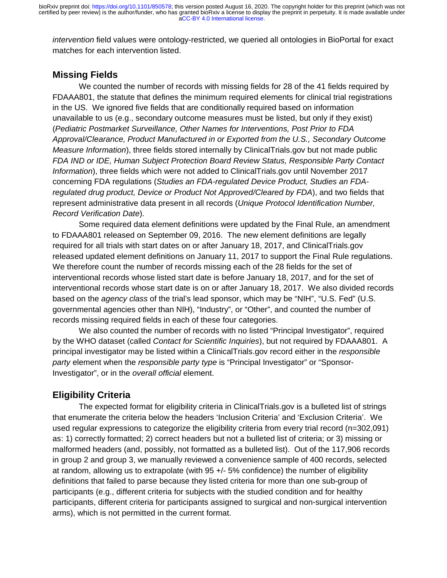*intervention* field values were ontology-restricted, we queried all ontologies in BioPortal for exact matches for each intervention listed.

## **Missing Fields**

We counted the number of records with missing fields for 28 of the 41 fields required by FDAAA801, the statute that defines the minimum required elements for clinical trial registrations in the US. We ignored five fields that are conditionally required based on information unavailable to us (e.g., secondary outcome measures must be listed, but only if they exist) (*Pediatric Postmarket Surveillance, Other Names for Interventions, Post Prior to FDA Approval/Clearance, Product Manufactured in or Exported from the U.S., Secondary Outcome Measure Information*), three fields stored internally by ClinicalTrials.gov but not made public *FDA IND or IDE, Human Subject Protection Board Review Status, Responsible Party Contact Information*), three fields which were not added to ClinicalTrials.gov until November 2017 concerning FDA regulations (*Studies an FDA-regulated Device Product, Studies an FDAregulated drug product, Device or Product Not Approved/Cleared by FDA*), and two fields that represent administrative data present in all records (*Unique Protocol Identification Number, Record Verification Date*).

Some required data element definitions were updated by the Final Rule, an amendment to FDAAA801 released on September 09, 2016. The new element definitions are legally required for all trials with start dates on or after January 18, 2017, and ClinicalTrials.gov released updated element definitions on January 11, 2017 to support the Final Rule regulations. We therefore count the number of records missing each of the 28 fields for the set of interventional records whose listed start date is before January 18, 2017, and for the set of interventional records whose start date is on or after January 18, 2017. We also divided records based on the *agency class* of the trial's lead sponsor, which may be "NIH", "U.S. Fed" (U.S. governmental agencies other than NIH), "Industry", or "Other", and counted the number of records missing required fields in each of these four categories.

We also counted the number of records with no listed "Principal Investigator", required by the WHO dataset (called *Contact for Scientific Inquiries*), but not required by FDAAA801. A principal investigator may be listed within a ClinicalTrials.gov record either in the *responsible party* element when the *responsible party type* is "Principal Investigator" or "Sponsor-Investigator", or in the *overall official* element.

### **Eligibility Criteria**

 The expected format for eligibility criteria in ClinicalTrials.gov is a bulleted list of strings that enumerate the criteria below the headers 'Inclusion Criteria' and 'Exclusion Criteria'. We used regular expressions to categorize the eligibility criteria from every trial record (n=302,091) as: 1) correctly formatted; 2) correct headers but not a bulleted list of criteria; or 3) missing or malformed headers (and, possibly, not formatted as a bulleted list). Out of the 117,906 records in group 2 and group 3, we manually reviewed a convenience sample of 400 records, selected at random, allowing us to extrapolate (with 95 +/- 5% confidence) the number of eligibility definitions that failed to parse because they listed criteria for more than one sub-group of participants (e.g., different criteria for subjects with the studied condition and for healthy participants, different criteria for participants assigned to surgical and non-surgical intervention arms), which is not permitted in the current format.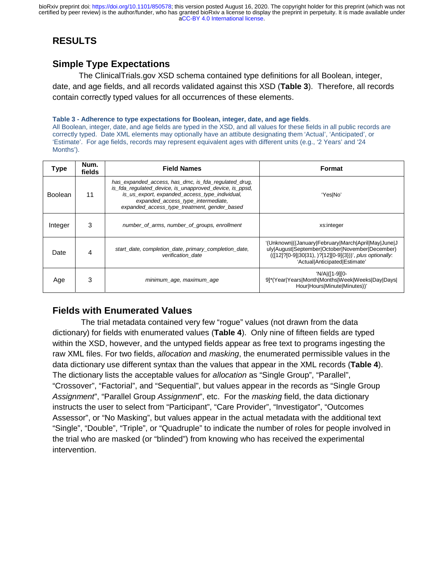# **RESULTS**

## **Simple Type Expectations**

The ClinicalTrials.gov XSD schema contained type definitions for all Boolean, integer, date, and age fields, and all records validated against this XSD (**Table 3**). Therefore, all records contain correctly typed values for all occurrences of these elements.

#### **Table 3 - Adherence to type expectations for Boolean, integer, date, and age fields**.

All Boolean, integer, date, and age fields are typed in the XSD, and all values for these fields in all public records are correctly typed. Date XML elements may optionally have an attibute designating them 'Actual', 'Anticipated', or 'Estimate'. For age fields, records may represent equivalent ages with different units (e.g., '2 Years' and '24 Months').

| Type           | Num.<br>fields | <b>Field Names</b>                                                                                                                                                                                                                                      | Format                                                                                                                                                                                              |  |
|----------------|----------------|---------------------------------------------------------------------------------------------------------------------------------------------------------------------------------------------------------------------------------------------------------|-----------------------------------------------------------------------------------------------------------------------------------------------------------------------------------------------------|--|
| <b>Boolean</b> | 11             | has_expanded_access, has_dmc, is_fda_regulated_drug,<br>is fda regulated device, is unapproved device, is ppsd,<br>is us export, expanded access type individual,<br>expanded_access_type_intermediate,<br>expanded_access_type_treatment, gender_based | 'Yes No'                                                                                                                                                                                            |  |
| Integer        | 3              | number_of_arms, number_of_groups, enrollment                                                                                                                                                                                                            | xs:integer                                                                                                                                                                                          |  |
| Date           | 4              | start_date, completion_date, primary_completion_date,<br>verification date                                                                                                                                                                              | '(Unknown)((January)February March April May June J<br>uly August September October November December)<br>(([12]?[0-9][30]31), )?[12][0-9]{3}))', plus optionally:<br>'Actual Anticipated Estimate' |  |
| Age            | 3              | minimum_age, maximum_age                                                                                                                                                                                                                                | 'N/Al([1-9][0-<br>9]*(Year Years Month Months Week Weeks Day Days <br>Hour Hours Minute Minutes))'                                                                                                  |  |

## **Fields with Enumerated Values**

 The trial metadata contained very few "rogue" values (not drawn from the data dictionary) for fields with enumerated values (**Table 4**). Only nine of fifteen fields are typed within the XSD, however, and the untyped fields appear as free text to programs ingesting the raw XML files. For two fields, *allocation* and *masking*, the enumerated permissible values in the data dictionary use different syntax than the values that appear in the XML records (**Table 4**). The dictionary lists the acceptable values for *allocation* as "Single Group", "Parallel", "Crossover", "Factorial", and "Sequential", but values appear in the records as "Single Group *Assignment*", "Parallel Group *Assignment*", etc. For the *masking* field, the data dictionary instructs the user to select from "Participant", "Care Provider", "Investigator", "Outcomes Assessor", or "No Masking", but values appear in the actual metadata with the additional text "Single", "Double", "Triple", or "Quadruple" to indicate the number of roles for people involved in the trial who are masked (or "blinded") from knowing who has received the experimental intervention.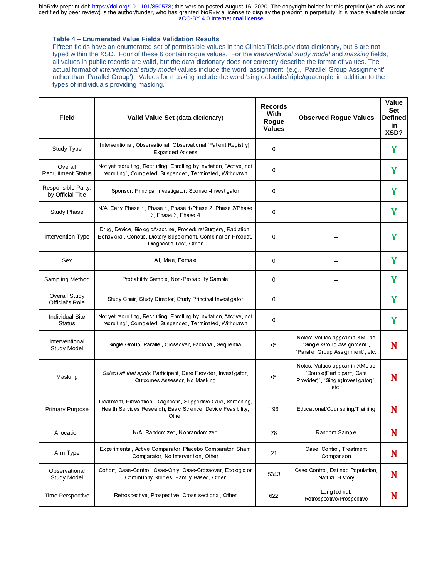#### **Table 4 – Enumerated Value Fields Validation Results**

Fifteen fields have an enumerated set of permissible values in the ClinicalTrials.gov data dictionary, but 6 are not typed within the XSD. Four of these 6 contain rogue values. For the *interventional study model* and *masking* fields, all values in public records are valid, but the data dictionary does not correctly describe the format of values. The actual format of *interventional study model* values include the word 'assignment' (e.g., 'Parallel Group Assignment' rather than 'Parallel Group'). Values for masking include the word 'single/double/triple/quadruple' in addition to the types of individuals providing masking.

| Field                                   | Valid Value Set (data dictionary)                                                                                                                        | <b>Records</b><br>With<br>Rogue<br><b>Values</b> | <b>Observed Rogue Values</b>                                                                               | Value<br>Set<br>Definedl<br>in<br>XSD? |
|-----------------------------------------|----------------------------------------------------------------------------------------------------------------------------------------------------------|--------------------------------------------------|------------------------------------------------------------------------------------------------------------|----------------------------------------|
| Study Type                              | Interventional, Observational, Observational [Patient Registry],<br><b>Expanded Access</b>                                                               | 0                                                |                                                                                                            | Y                                      |
| Overall<br><b>Recruitment Status</b>    | Not yet recruiting, Recruiting, Enrolling by invitation, "Active, not<br>recruiting", Completed, Suspended, Terminated, Withdrawn                        | 0                                                |                                                                                                            | Y                                      |
| Responsible Party,<br>by Official Title | Sponsor, Principal Investigator, Sponsor-Investigator                                                                                                    | 0                                                |                                                                                                            | Y                                      |
| <b>Study Phase</b>                      | N/A, Early Phase 1, Phase 1, Phase 1/Phase 2, Phase 2/Phase<br>3. Phase 3. Phase 4                                                                       | 0                                                |                                                                                                            | Y                                      |
| Intervention Type                       | Drug, Device, Biologic/Vaccine, Procedure/Surgery, Radiation,<br>Behavioral, Genetic, Dietary Supplement, Combination Product,<br>Diagnostic Test, Other | 0                                                |                                                                                                            | Y                                      |
| Sex                                     | All, Male, Female                                                                                                                                        | 0                                                |                                                                                                            | Y                                      |
| Sampling Method                         | Probability Sample, Non-Probability Sample                                                                                                               | 0                                                |                                                                                                            | Y                                      |
| <b>Overall Study</b><br>Official's Role | Study Chair, Study Director, Study Principal Investigator                                                                                                | 0                                                |                                                                                                            | Y                                      |
| <b>Individual Site</b><br><b>Status</b> | Not yet recruiting, Recruiting, Enrolling by invitation, "Active, not<br>recruiting", Completed, Suspended, Terminated, Withdrawn                        | 0                                                |                                                                                                            | Y                                      |
| Interventional<br><b>Study Model</b>    | Single Group, Parallel, Crossover, Factorial, Sequential                                                                                                 | 0*                                               | Notes: Values appear in XML as<br>"Single Group Assignment",<br>"Parallel Group Assignment", etc.          | N                                      |
| Masking                                 | Select all that apply: Participant, Care Provider, Investigator,<br>Outcomes Assessor, No Masking                                                        | $0^*$                                            | Notes: Values appear in XML as<br>"Double(Participant, Care<br>Provider)", "Single(Investigator)",<br>etc. | N                                      |
| <b>Primary Purpose</b>                  | Treatment, Prevention, Diagnostic, Supportive Care, Screening,<br>Health Services Research, Basic Science, Device Feasibility,<br>Other                  | 196                                              | Educational/Counseling/Training                                                                            | N                                      |
| Allocation                              | N/A, Randomized, Nonrandomized                                                                                                                           | 78                                               | Random Sample                                                                                              | N                                      |
| Arm Type                                | Experimental, Active Comparator, Placebo Comparator, Sham<br>Comparator, No Intervention, Other                                                          | 21                                               | Case, Control, Treatment<br>Comparison                                                                     | N                                      |
| Observational<br><b>Study Model</b>     | Cohort, Case-Control, Case-Only, Case-Crossover, Ecologic or<br>Community Studies, Family-Based, Other                                                   | 5343                                             | Case Control, Defined Population,<br>Natural History                                                       | N                                      |
| Time Perspective                        | Retrospective, Prospective, Cross-sectional, Other                                                                                                       | 622                                              | Longitudinal,<br>Retrospective/Prospective                                                                 | N                                      |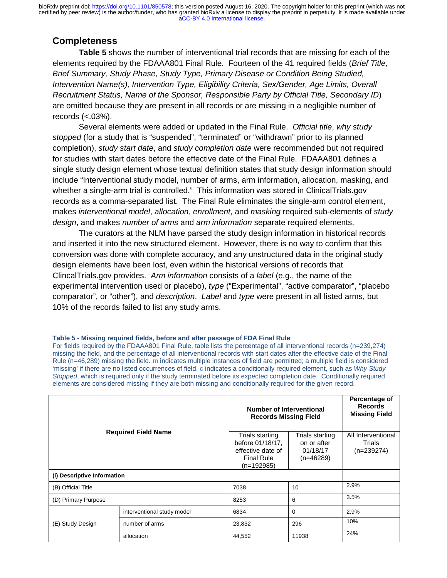## **Completeness**

**Table 5** shows the number of interventional trial records that are missing for each of the elements required by the FDAAA801 Final Rule. Fourteen of the 41 required fields (*Brief Title, Brief Summary, Study Phase, Study Type, Primary Disease or Condition Being Studied, Intervention Name(s), Intervention Type, Eligibility Criteria, Sex/Gender, Age Limits, Overall Recruitment Status, Name of the Sponsor, Responsible Party by Official Title, Secondary ID*) are omitted because they are present in all records or are missing in a negligible number of records  $(<.03\%)$ .

 Several elements were added or updated in the Final Rule. *Official title*, *why study stopped* (for a study that is "suspended", "terminated" or "withdrawn" prior to its planned completion), *study start date*, and *study completion date* were recommended but not required for studies with start dates before the effective date of the Final Rule. FDAAA801 defines a single study design element whose textual definition states that study design information should include "Interventional study model, number of arms, arm information, allocation, masking, and whether a single-arm trial is controlled." This information was stored in ClinicalTrials.gov records as a comma-separated list. The Final Rule eliminates the single-arm control element, makes *interventional model*, *allocation*, *enrollment*, and *masking* required sub-elements of *study design*, and makes *number of arms* and *arm information* separate required elements.

The curators at the NLM have parsed the study design information in historical records and inserted it into the new structured element. However, there is no way to confirm that this conversion was done with complete accuracy, and any unstructured data in the original study design elements have been lost, even within the historical versions of records that ClincalTrials.gov provides. *Arm information* consists of a *label* (e.g., the name of the experimental intervention used or placebo), *type* ("Experimental", "active comparator", "placebo comparator", or "other"), and *description*. *Label* and *type* were present in all listed arms, but 10% of the records failed to list any study arms.

#### **Table 5 - Missing required fields, before and after passage of FDA Final Rule**

For fields required by the FDAAA801 Final Rule, table lists the percentage of all interventional records (n=239,274) missing the field, and the percentage of all interventional records with start dates after the effective date of the Final Rule (n=46,289) missing the field. **m** indicates multiple instances of field are permitted; a multiple field is considered 'missing' if there are no listed occurrences of field. **c** indicates a conditionally required element, such as *Why Study Stopped*, which is required only if the study terminated before its expected completion date. Conditionally required elements are considered missing if they are both missing and conditionally required for the given record.

| <b>Required Field Name</b>  |                            |                                                                                               | <b>Number of Interventional</b><br><b>Records Missing Field</b> |                                              |
|-----------------------------|----------------------------|-----------------------------------------------------------------------------------------------|-----------------------------------------------------------------|----------------------------------------------|
|                             |                            | Trials starting<br>before 01/18/17,<br>effective date of<br><b>Final Rule</b><br>$(n=192985)$ | Trials starting<br>on or after<br>01/18/17<br>$(n=46289)$       | All Interventional<br>Trials<br>$(n=239274)$ |
| (i) Descriptive Information |                            |                                                                                               |                                                                 |                                              |
| (B) Official Title          |                            | 7038                                                                                          | 10                                                              | 2.9%                                         |
| (D) Primary Purpose         |                            | 8253                                                                                          | 6                                                               | 3.5%                                         |
| (E) Study Design            | interventional study model | 6834                                                                                          | $\mathbf 0$                                                     | 2.9%                                         |
|                             | number of arms             | 23,832                                                                                        | 296                                                             | 10%                                          |
|                             | allocation                 | 44,552                                                                                        | 11938                                                           | 24%                                          |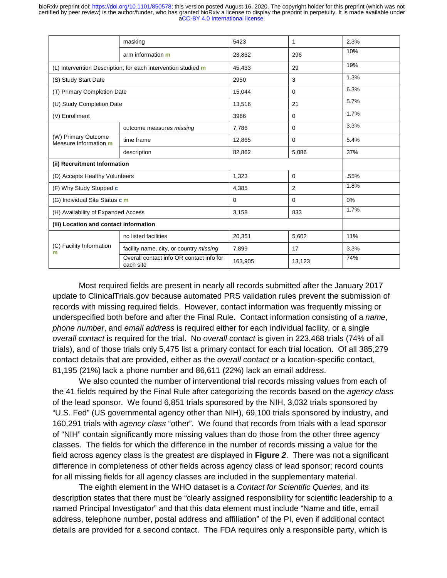|                                              | masking                                                       | 5423    | 1              | 2.3% |
|----------------------------------------------|---------------------------------------------------------------|---------|----------------|------|
|                                              | arm information m                                             | 23,832  | 296            | 10%  |
|                                              | (L) Intervention Description, for each intervention studied m | 45,433  | 29             | 19%  |
| (S) Study Start Date                         |                                                               | 2950    | 3              | 1.3% |
| (T) Primary Completion Date                  |                                                               | 15,044  | $\mathbf 0$    | 6.3% |
| (U) Study Completion Date                    |                                                               | 13,516  | 21             | 5.7% |
| (V) Enrollment                               |                                                               | 3966    | 0              | 1.7% |
|                                              | outcome measures missing                                      | 7,786   | $\mathbf 0$    | 3.3% |
| (W) Primary Outcome<br>Measure Information m | time frame                                                    | 12,865  | $\mathbf 0$    | 5.4% |
|                                              | description                                                   | 82,862  | 5,086          | 37%  |
| (ii) Recruitment Information                 |                                                               |         |                |      |
| (D) Accepts Healthy Volunteers               |                                                               | 1,323   | $\mathbf 0$    | .55% |
| (F) Why Study Stopped c                      |                                                               | 4,385   | $\overline{2}$ | 1.8% |
| (G) Individual Site Status c m               |                                                               | 0       | $\mathbf 0$    | 0%   |
| (H) Availability of Expanded Access          |                                                               | 3,158   | 833            | 1.7% |
| (iii) Location and contact information       |                                                               |         |                |      |
| (C) Facility Information<br>m                | no listed facilities                                          | 20,351  | 5,602          | 11%  |
|                                              | facility name, city, or country missing                       | 7,899   | 17             | 3.3% |
|                                              | Overall contact info OR contact info for<br>each site         | 163,905 | 13,123         | 74%  |

Most required fields are present in nearly all records submitted after the January 2017 update to ClinicalTrials.gov because automated PRS validation rules prevent the submission of records with missing required fields. However, contact information was frequently missing or underspecified both before and after the Final Rule. Contact information consisting of a *name*, *phone number*, and *email address* is required either for each individual facility, or a single *overall contact* is required for the trial. No *overall contact* is given in 223,468 trials (74% of all trials), and of those trials only 5,475 list a primary contact for each trial location. Of all 385,279 contact details that are provided, either as the *overall contact* or a location-specific contact, 81,195 (21%) lack a phone number and 86,611 (22%) lack an email address.

 We also counted the number of interventional trial records missing values from each of the 41 fields required by the Final Rule after categorizing the records based on the *agency class* of the lead sponsor. We found 6,851 trials sponsored by the NIH, 3,032 trials sponsored by "U.S. Fed" (US governmental agency other than NIH), 69,100 trials sponsored by industry, and 160,291 trials with *agency class* "other". We found that records from trials with a lead sponsor of "NIH" contain significantly more missing values than do those from the other three agency classes. The fields for which the difference in the number of records missing a value for the field across agency class is the greatest are displayed in **Figure** *2*. There was not a significant difference in completeness of other fields across agency class of lead sponsor; record counts for all missing fields for all agency classes are included in the supplementary material.

 The eighth element in the WHO dataset is a *Contact for Scientific Queries*, and its description states that there must be "clearly assigned responsibility for scientific leadership to a named Principal Investigator" and that this data element must include "Name and title, email address, telephone number, postal address and affiliation" of the PI, even if additional contact details are provided for a second contact. The FDA requires only a responsible party, which is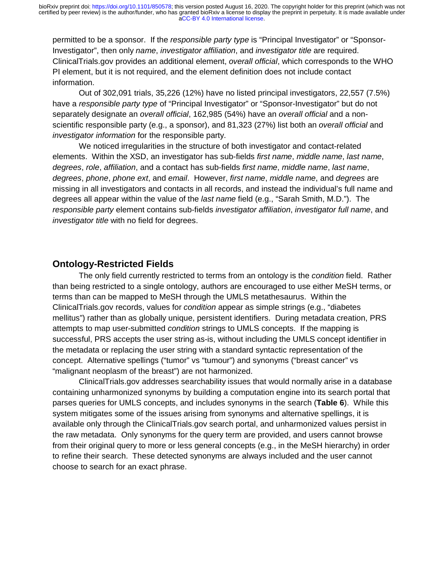permitted to be a sponsor. If the *responsible party type* is "Principal Investigator" or "Sponsor-Investigator", then only *name*, *investigator affiliation*, and *investigator title* are required. ClinicalTrials.gov provides an additional element, *overall official*, which corresponds to the WHO PI element, but it is not required, and the element definition does not include contact information.

 Out of 302,091 trials, 35,226 (12%) have no listed principal investigators, 22,557 (7.5%) have a *responsible party type* of "Principal Investigator" or "Sponsor-Investigator" but do not separately designate an *overall official*, 162,985 (54%) have an *overall official* and a nonscientific responsible party (e.g., a sponsor), and 81,323 (27%) list both an *overall official* and *investigator information* for the responsible party.

 We noticed irregularities in the structure of both investigator and contact-related elements. Within the XSD, an investigator has sub-fields *first name*, *middle name*, *last name*, *degrees*, *role*, *affiliation*, and a contact has sub-fields *first name*, *middle name*, *last name*, *degrees*, *phone*, *phone ext*, and *email*. However, *first name*, *middle name*, and *degrees* are missing in all investigators and contacts in all records, and instead the individual's full name and degrees all appear within the value of the *last name* field (e.g., "Sarah Smith, M.D."). The *responsible party* element contains sub-fields *investigator affiliation*, *investigator full name*, and *investigator title* with no field for degrees.

#### **Ontology-Restricted Fields**

The only field currently restricted to terms from an ontology is the *condition* field. Rather than being restricted to a single ontology, authors are encouraged to use either MeSH terms, or terms than can be mapped to MeSH through the UMLS metathesaurus. Within the ClinicalTrials.gov records, values for *condition* appear as simple strings (e.g., "diabetes mellitus") rather than as globally unique, persistent identifiers. During metadata creation, PRS attempts to map user-submitted *condition* strings to UMLS concepts. If the mapping is successful, PRS accepts the user string as-is, without including the UMLS concept identifier in the metadata or replacing the user string with a standard syntactic representation of the concept. Alternative spellings ("tumor" vs "tumour") and synonyms ("breast cancer" vs "malignant neoplasm of the breast") are not harmonized.

ClinicalTrials.gov addresses searchability issues that would normally arise in a database containing unharmonized synonyms by building a computation engine into its search portal that parses queries for UMLS concepts, and includes synonyms in the search (**Table 6**). While this system mitigates some of the issues arising from synonyms and alternative spellings, it is available only through the ClinicalTrials.gov search portal, and unharmonized values persist in the raw metadata. Only synonyms for the query term are provided, and users cannot browse from their original query to more or less general concepts (e.g., in the MeSH hierarchy) in order to refine their search. These detected synonyms are always included and the user cannot choose to search for an exact phrase.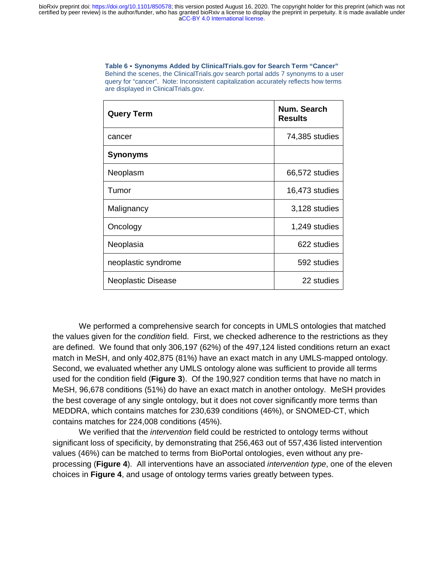**Table 6 - Synonyms Added by ClinicalTrials.gov for Search Term "Cancer"**  Behind the scenes, the ClinicalTrials.gov search portal adds 7 synonyms to a user query for "cancer". Note: Inconsistent capitalization accurately reflects how terms are displayed in ClinicalTrials.gov.

| <b>Query Term</b>         | Num. Search<br><b>Results</b> |
|---------------------------|-------------------------------|
| cancer                    | 74,385 studies                |
| <b>Synonyms</b>           |                               |
| Neoplasm                  | 66,572 studies                |
| Tumor                     | 16,473 studies                |
| Malignancy                | 3,128 studies                 |
| Oncology                  | 1,249 studies                 |
| Neoplasia                 | 622 studies                   |
| neoplastic syndrome       | 592 studies                   |
| <b>Neoplastic Disease</b> | 22 studies                    |

We performed a comprehensive search for concepts in UMLS ontologies that matched the values given for the *condition* field. First, we checked adherence to the restrictions as they are defined. We found that only 306,197 (62%) of the 497,124 listed conditions return an exact match in MeSH, and only 402,875 (81%) have an exact match in any UMLS-mapped ontology. Second, we evaluated whether any UMLS ontology alone was sufficient to provide all terms used for the condition field (**Figure 3**). Of the 190,927 condition terms that have no match in MeSH, 96,678 conditions (51%) do have an exact match in another ontology. MeSH provides the best coverage of any single ontology, but it does not cover significantly more terms than MEDDRA, which contains matches for 230,639 conditions (46%), or SNOMED-CT, which contains matches for 224,008 conditions (45%).

We verified that the *intervention* field could be restricted to ontology terms without significant loss of specificity, by demonstrating that 256,463 out of 557,436 listed intervention values (46%) can be matched to terms from BioPortal ontologies, even without any preprocessing (**Figure 4**). All interventions have an associated *intervention type*, one of the eleven choices in **Figure 4**, and usage of ontology terms varies greatly between types.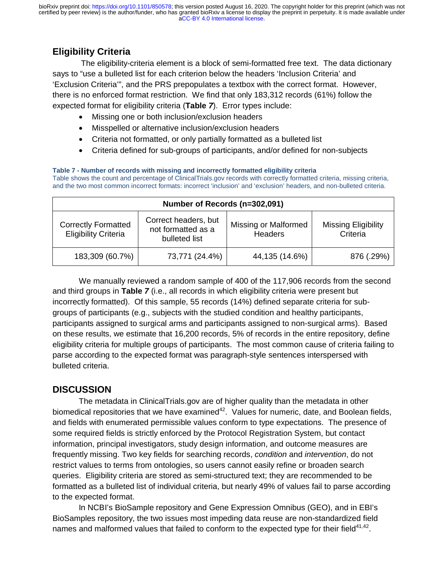# **Eligibility Criteria**

 The eligibility-criteria element is a block of semi-formatted free text. The data dictionary says to "use a bulleted list for each criterion below the headers 'Inclusion Criteria' and 'Exclusion Criteria'", and the PRS prepopulates a textbox with the correct format. However, there is no enforced format restriction. We find that only 183,312 records (61%) follow the expected format for eligibility criteria (**Table** *7*). Error types include:

- Missing one or both inclusion/exclusion headers
- Misspelled or alternative inclusion/exclusion headers
- Criteria not formatted, or only partially formatted as a bulleted list
- Criteria defined for sub-groups of participants, and/or defined for non-subjects

**Table 7 - Number of records with missing and incorrectly formatted eligibility criteria**  Table shows the count and percentage of ClinicalTrials.gov records with correctly formatted criteria, missing criteria, and the two most common incorrect formats: incorrect 'inclusion' and 'exclusion' headers, and non-bulleted criteria.

| Number of Records (n=302,091)                             |                                                             |                                               |                                        |  |
|-----------------------------------------------------------|-------------------------------------------------------------|-----------------------------------------------|----------------------------------------|--|
| <b>Correctly Formatted</b><br><b>Eligibility Criteria</b> | Correct headers, but<br>not formatted as a<br>bulleted list | <b>Missing or Malformed</b><br><b>Headers</b> | <b>Missing Eligibility</b><br>Criteria |  |
| 183,309 (60.7%)                                           | 73,771 (24.4%)                                              | 44,135 (14.6%)                                | 876 (.29%)                             |  |

We manually reviewed a random sample of 400 of the 117,906 records from the second and third groups in **Table** *7* (i.e., all records in which eligibility criteria were present but incorrectly formatted). Of this sample, 55 records (14%) defined separate criteria for subgroups of participants (e.g., subjects with the studied condition and healthy participants, participants assigned to surgical arms and participants assigned to non-surgical arms). Based on these results, we estimate that 16,200 records, 5% of records in the entire repository, define eligibility criteria for multiple groups of participants. The most common cause of criteria failing to parse according to the expected format was paragraph-style sentences interspersed with bulleted criteria.

# **DISCUSSION**

 The metadata in ClinicalTrials.gov are of higher quality than the metadata in other biomedical repositories that we have examined<sup>42</sup>. Values for numeric, date, and Boolean fields, and fields with enumerated permissible values conform to type expectations. The presence of some required fields is strictly enforced by the Protocol Registration System, but contact information, principal investigators, study design information, and outcome measures are frequently missing. Two key fields for searching records, *condition* and *intervention*, do not restrict values to terms from ontologies, so users cannot easily refine or broaden search queries. Eligibility criteria are stored as semi-structured text; they are recommended to be formatted as a bulleted list of individual criteria, but nearly 49% of values fail to parse according to the expected format.

In NCBI's BioSample repository and Gene Expression Omnibus (GEO), and in EBI's BioSamples repository, the two issues most impeding data reuse are non-standardized field names and malformed values that failed to conform to the expected type for their field $41,42$ .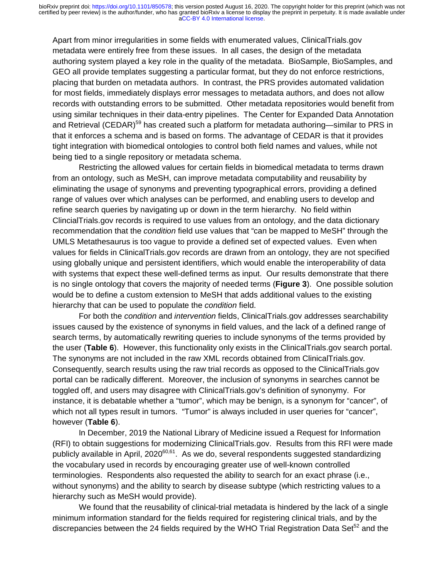Apart from minor irregularities in some fields with enumerated values, ClinicalTrials.gov metadata were entirely free from these issues. In all cases, the design of the metadata authoring system played a key role in the quality of the metadata. BioSample, BioSamples, and GEO all provide templates suggesting a particular format, but they do not enforce restrictions, placing that burden on metadata authors. In contrast, the PRS provides automated validation for most fields, immediately displays error messages to metadata authors, and does not allow records with outstanding errors to be submitted. Other metadata repositories would benefit from using similar techniques in their data-entry pipelines. The Center for Expanded Data Annotation and Retrieval (CEDAR)<sup>59</sup> has created such a platform for metadata authoring—similar to PRS in that it enforces a schema and is based on forms. The advantage of CEDAR is that it provides tight integration with biomedical ontologies to control both field names and values, while not being tied to a single repository or metadata schema.

Restricting the allowed values for certain fields in biomedical metadata to terms drawn from an ontology, such as MeSH, can improve metadata computability and reusability by eliminating the usage of synonyms and preventing typographical errors, providing a defined range of values over which analyses can be performed, and enabling users to develop and refine search queries by navigating up or down in the term hierarchy. No field within ClincialTrials.gov records is required to use values from an ontology, and the data dictionary recommendation that the *condition* field use values that "can be mapped to MeSH" through the UMLS Metathesaurus is too vague to provide a defined set of expected values. Even when values for fields in ClinicalTrials.gov records are drawn from an ontology, they are not specified using globally unique and persistent identifiers, which would enable the interoperability of data with systems that expect these well-defined terms as input. Our results demonstrate that there is no single ontology that covers the majority of needed terms (**Figure 3**). One possible solution would be to define a custom extension to MeSH that adds additional values to the existing hierarchy that can be used to populate the *condition* field.

For both the *condition* and *intervention* fields, ClinicalTrials.gov addresses searchability issues caused by the existence of synonyms in field values, and the lack of a defined range of search terms, by automatically rewriting queries to include synonyms of the terms provided by the user (**Table 6**). However, this functionality only exists in the ClinicalTrials.gov search portal. The synonyms are not included in the raw XML records obtained from ClinicalTrials.gov*.* Consequently, search results using the raw trial records as opposed to the ClinicalTrials.gov portal can be radically different. Moreover, the inclusion of synonyms in searches cannot be toggled off, and users may disagree with ClinicalTrials.gov's definition of synonymy. For instance, it is debatable whether a "tumor", which may be benign, is a synonym for "cancer", of which not all types result in tumors. "Tumor" is always included in user queries for "cancer", however (**Table 6**).

In December, 2019 the National Library of Medicine issued a Request for Information (RFI) to obtain suggestions for modernizing ClinicalTrials.gov. Results from this RFI were made publicly available in April,  $2020^{60,61}$ . As we do, several respondents suggested standardizing the vocabulary used in records by encouraging greater use of well-known controlled terminologies. Respondents also requested the ability to search for an exact phrase (i.e., without synonyms) and the ability to search by disease subtype (which restricting values to a hierarchy such as MeSH would provide).

We found that the reusability of clinical-trial metadata is hindered by the lack of a single minimum information standard for the fields required for registering clinical trials, and by the discrepancies between the 24 fields required by the WHO Trial Registration Data Set<sup>52</sup> and the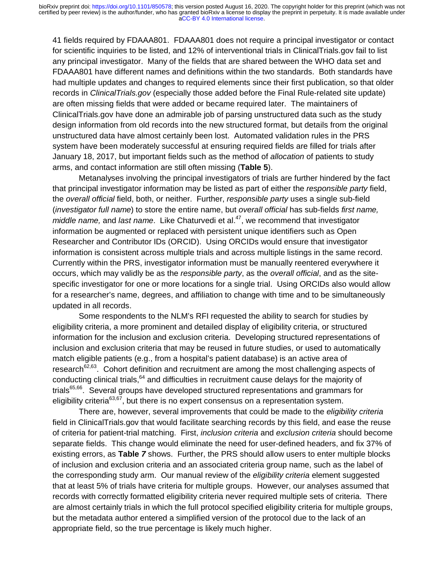41 fields required by FDAAA801. FDAAA801 does not require a principal investigator or contact for scientific inquiries to be listed, and 12% of interventional trials in ClinicalTrials.gov fail to list any principal investigator. Many of the fields that are shared between the WHO data set and FDAAA801 have different names and definitions within the two standards. Both standards have had multiple updates and changes to required elements since their first publication, so that older records in *ClinicalTrials.gov* (especially those added before the Final Rule-related site update) are often missing fields that were added or became required later. The maintainers of ClinicalTrials.gov have done an admirable job of parsing unstructured data such as the study design information from old records into the new structured format, but details from the original unstructured data have almost certainly been lost. Automated validation rules in the PRS system have been moderately successful at ensuring required fields are filled for trials after January 18, 2017, but important fields such as the method of *allocation* of patients to study arms, and contact information are still often missing (**Table 5**).

Metanalyses involving the principal investigators of trials are further hindered by the fact that principal investigator information may be listed as part of either the *responsible party* field, the *overall official* field, both, or neither. Further, *responsible party* uses a single sub-field (*investigator full name*) to store the entire name, but *overall official* has sub-fields *first name, middle name, and last name.* Like Chaturvedi et al.<sup>47</sup>, we recommend that investigator information be augmented or replaced with persistent unique identifiers such as Open Researcher and Contributor IDs (ORCID). Using ORCIDs would ensure that investigator information is consistent across multiple trials and across multiple listings in the same record. Currently within the PRS, investigator information must be manually reentered everywhere it occurs, which may validly be as the *responsible party*, as the *overall official*, and as the sitespecific investigator for one or more locations for a single trial. Using ORCIDs also would allow for a researcher's name, degrees, and affiliation to change with time and to be simultaneously updated in all records.

Some respondents to the NLM's RFI requested the ability to search for studies by eligibility criteria, a more prominent and detailed display of eligibility criteria, or structured information for the inclusion and exclusion criteria. Developing structured representations of inclusion and exclusion criteria that may be reused in future studies, or used to automatically match eligible patients (e.g., from a hospital's patient database) is an active area of research<sup>62,63</sup>. Cohort definition and recruitment are among the most challenging aspects of conducting clinical trials,<sup>64</sup> and difficulties in recruitment cause delays for the majority of trials<sup>65,66</sup>. Several groups have developed structured representations and grammars for eligibility criteria<sup>63,67</sup>, but there is no expert consensus on a representation system.

There are, however, several improvements that could be made to the *eligibility criteria* field in ClinicalTrials.gov that would facilitate searching records by this field, and ease the reuse of criteria for patient-trial matching. First, *inclusion criteria* and *exclusion criteria* should become separate fields. This change would eliminate the need for user-defined headers, and fix 37% of existing errors, as **Table** *7* shows. Further, the PRS should allow users to enter multiple blocks of inclusion and exclusion criteria and an associated criteria group name, such as the label of the corresponding study arm. Our manual review of the *eligibility criteria* element suggested that at least 5% of trials have criteria for multiple groups. However, our analyses assumed that records with correctly formatted eligibility criteria never required multiple sets of criteria. There are almost certainly trials in which the full protocol specified eligibility criteria for multiple groups, but the metadata author entered a simplified version of the protocol due to the lack of an appropriate field, so the true percentage is likely much higher.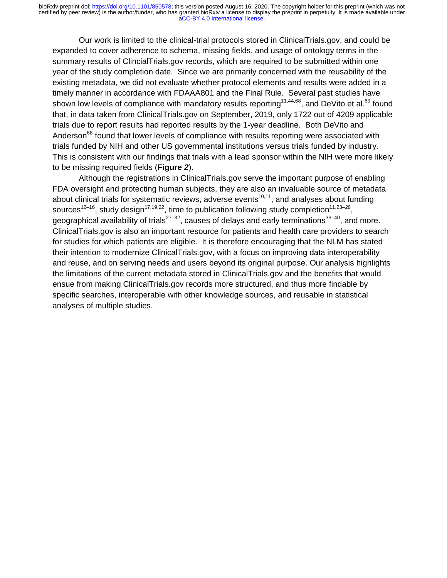Our work is limited to the clinical-trial protocols stored in ClinicalTrials.gov, and could be expanded to cover adherence to schema, missing fields, and usage of ontology terms in the summary results of ClincialTrials.gov records, which are required to be submitted within one year of the study completion date. Since we are primarily concerned with the reusability of the existing metadata, we did not evaluate whether protocol elements and results were added in a timely manner in accordance with FDAAA801 and the Final Rule. Several past studies have shown low levels of compliance with mandatory results reporting<sup>11,44,68</sup>, and DeVito et al.<sup>69</sup> found that, in data taken from ClinicalTrials.gov on September, 2019, only 1722 out of 4209 applicable trials due to report results had reported results by the 1-year deadline. Both DeVito and Anderson<sup>68</sup> found that lower levels of compliance with results reporting were associated with trials funded by NIH and other US governmental institutions versus trials funded by industry. This is consistent with our findings that trials with a lead sponsor within the NIH were more likely to be missing required fields (**Figure** *2*).

Although the registrations in ClinicalTrials.gov serve the important purpose of enabling FDA oversight and protecting human subjects, they are also an invaluable source of metadata about clinical trials for systematic reviews, adverse events<sup>10,11</sup>, and analyses about funding sources<sup>12–16</sup>, study design<sup>17,19,22</sup>, time to publication following study completion<sup>11,23–26</sup>, geographical availability of trials<sup>27–32</sup>, causes of delays and early terminations<sup>33–40</sup>, and more. ClinicalTrials.gov is also an important resource for patients and health care providers to search for studies for which patients are eligible. It is therefore encouraging that the NLM has stated their intention to modernize ClinicalTrials.gov, with a focus on improving data interoperability and reuse, and on serving needs and users beyond its original purpose. Our analysis highlights the limitations of the current metadata stored in ClinicalTrials.gov and the benefits that would ensue from making ClinicalTrials.gov records more structured, and thus more findable by specific searches, interoperable with other knowledge sources, and reusable in statistical analyses of multiple studies.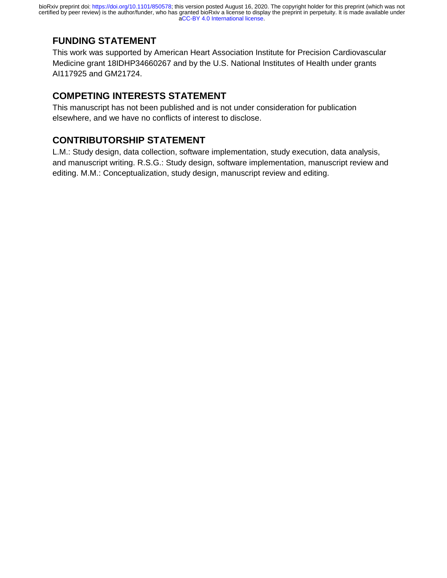# **FUNDING STATEMENT**

This work was supported by American Heart Association Institute for Precision Cardiovascular Medicine grant 18IDHP34660267 and by the U.S. National Institutes of Health under grants AI117925 and GM21724.

# **COMPETING INTERESTS STATEMENT**

This manuscript has not been published and is not under consideration for publication elsewhere, and we have no conflicts of interest to disclose.

## **CONTRIBUTORSHIP STATEMENT**

L.M.: Study design, data collection, software implementation, study execution, data analysis, and manuscript writing. R.S.G.: Study design, software implementation, manuscript review and editing. M.M.: Conceptualization, study design, manuscript review and editing.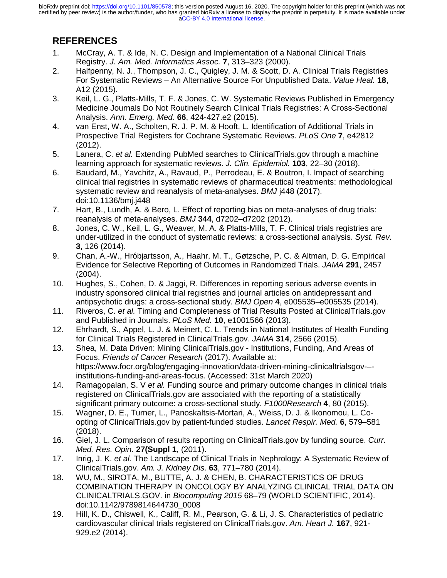# **REFERENCES**

- 1. McCray, A. T. & Ide, N. C. Design and Implementation of a National Clinical Trials Registry. *J. Am. Med. Informatics Assoc.* **7**, 313–323 (2000).
- 2. Halfpenny, N. J., Thompson, J. C., Quigley, J. M. & Scott, D. A. Clinical Trials Registries For Systematic Reviews – An Alternative Source For Unpublished Data. *Value Heal.* **18**, A12 (2015).
- 3. Keil, L. G., Platts-Mills, T. F. & Jones, C. W. Systematic Reviews Published in Emergency Medicine Journals Do Not Routinely Search Clinical Trials Registries: A Cross-Sectional Analysis. *Ann. Emerg. Med.* **66**, 424-427.e2 (2015).
- 4. van Enst, W. A., Scholten, R. J. P. M. & Hooft, L. Identification of Additional Trials in Prospective Trial Registers for Cochrane Systematic Reviews. *PLoS One* **7**, e42812 (2012).
- 5. Lanera, C. *et al.* Extending PubMed searches to ClinicalTrials.gov through a machine learning approach for systematic reviews. *J. Clin. Epidemiol.* **103**, 22–30 (2018).
- 6. Baudard, M., Yavchitz, A., Ravaud, P., Perrodeau, E. & Boutron, I. Impact of searching clinical trial registries in systematic reviews of pharmaceutical treatments: methodological systematic review and reanalysis of meta-analyses. *BMJ* j448 (2017). doi:10.1136/bmj.j448
- 7. Hart, B., Lundh, A. & Bero, L. Effect of reporting bias on meta-analyses of drug trials: reanalysis of meta-analyses. *BMJ* **344**, d7202–d7202 (2012).
- 8. Jones, C. W., Keil, L. G., Weaver, M. A. & Platts-Mills, T. F. Clinical trials registries are under-utilized in the conduct of systematic reviews: a cross-sectional analysis. *Syst. Rev.* **3**, 126 (2014).
- 9. Chan, A.-W., Hróbjartsson, A., Haahr, M. T., Gøtzsche, P. C. & Altman, D. G. Empirical Evidence for Selective Reporting of Outcomes in Randomized Trials. *JAMA* **291**, 2457 (2004).
- 10. Hughes, S., Cohen, D. & Jaggi, R. Differences in reporting serious adverse events in industry sponsored clinical trial registries and journal articles on antidepressant and antipsychotic drugs: a cross-sectional study. *BMJ Open* **4**, e005535–e005535 (2014).
- 11. Riveros, C. *et al.* Timing and Completeness of Trial Results Posted at ClinicalTrials.gov and Published in Journals. *PLoS Med.* **10**, e1001566 (2013).
- 12. Ehrhardt, S., Appel, L. J. & Meinert, C. L. Trends in National Institutes of Health Funding for Clinical Trials Registered in ClinicalTrials.gov. *JAMA* **314**, 2566 (2015).
- 13. Shea, M. Data Driven: Mining ClinicalTrials.gov Institutions, Funding, And Areas of Focus. *Friends of Cancer Research* (2017). Available at: https://www.focr.org/blog/engaging-innovation/data-driven-mining-clinicaltrialsgov-– institutions-funding-and-areas-focus. (Accessed: 31st March 2020)
- 14. Ramagopalan, S. V *et al.* Funding source and primary outcome changes in clinical trials registered on ClinicalTrials.gov are associated with the reporting of a statistically significant primary outcome: a cross-sectional study. *F1000Research* **4**, 80 (2015).
- 15. Wagner, D. E., Turner, L., Panoskaltsis-Mortari, A., Weiss, D. J. & Ikonomou, L. Coopting of ClinicalTrials.gov by patient-funded studies. *Lancet Respir. Med.* **6**, 579–581 (2018).
- 16. Giel, J. L. Comparison of results reporting on ClinicalTrials.gov by funding source. *Curr. Med. Res. Opin.* **27(Suppl 1**, (2011).
- 17. Inrig, J. K. *et al.* The Landscape of Clinical Trials in Nephrology: A Systematic Review of ClinicalTrials.gov. *Am. J. Kidney Dis.* **63**, 771–780 (2014).
- 18. WU, M., SIROTA, M., BUTTE, A. J. & CHEN, B. CHARACTERISTICS OF DRUG COMBINATION THERAPY IN ONCOLOGY BY ANALYZING CLINICAL TRIAL DATA ON CLINICALTRIALS.GOV. in *Biocomputing 2015* 68–79 (WORLD SCIENTIFIC, 2014). doi:10.1142/9789814644730\_0008
- 19. Hill, K. D., Chiswell, K., Califf, R. M., Pearson, G. & Li, J. S. Characteristics of pediatric cardiovascular clinical trials registered on ClinicalTrials.gov. *Am. Heart J.* **167**, 921- 929.e2 (2014).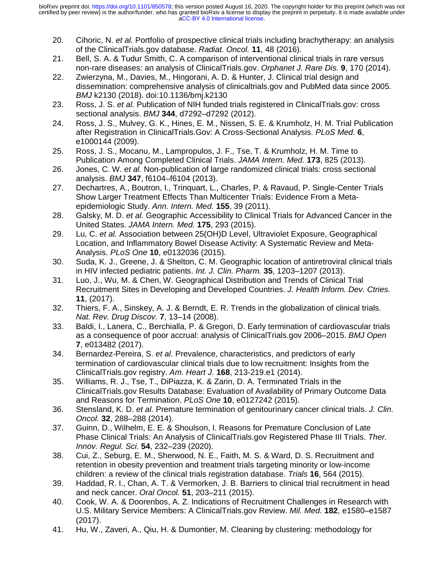- 20. Cihoric, N. *et al.* Portfolio of prospective clinical trials including brachytherapy: an analysis of the ClinicalTrials.gov database. *Radiat. Oncol.* **11**, 48 (2016).
- 21. Bell, S. A. & Tudur Smith, C. A comparison of interventional clinical trials in rare versus non-rare diseases: an analysis of ClinicalTrials.gov. *Orphanet J. Rare Dis.* **9**, 170 (2014).
- 22. Zwierzyna, M., Davies, M., Hingorani, A. D. & Hunter, J. Clinical trial design and dissemination: comprehensive analysis of clinicaltrials.gov and PubMed data since 2005. *BMJ* k2130 (2018). doi:10.1136/bmj.k2130
- 23. Ross, J. S. *et al.* Publication of NIH funded trials registered in ClinicalTrials.gov: cross sectional analysis. *BMJ* **344**, d7292–d7292 (2012).
- 24. Ross, J. S., Mulvey, G. K., Hines, E. M., Nissen, S. E. & Krumholz, H. M. Trial Publication after Registration in ClinicalTrials.Gov: A Cross-Sectional Analysis. *PLoS Med.* **6**, e1000144 (2009).
- 25. Ross, J. S., Mocanu, M., Lampropulos, J. F., Tse, T. & Krumholz, H. M. Time to Publication Among Completed Clinical Trials. *JAMA Intern. Med.* **173**, 825 (2013).
- 26. Jones, C. W. *et al.* Non-publication of large randomized clinical trials: cross sectional analysis. *BMJ* **347**, f6104–f6104 (2013).
- 27. Dechartres, A., Boutron, I., Trinquart, L., Charles, P. & Ravaud, P. Single-Center Trials Show Larger Treatment Effects Than Multicenter Trials: Evidence From a Metaepidemiologic Study. *Ann. Intern. Med.* **155**, 39 (2011).
- 28. Galsky, M. D. *et al.* Geographic Accessibility to Clinical Trials for Advanced Cancer in the United States. *JAMA Intern. Med.* **175**, 293 (2015).
- 29. Lu, C. *et al.* Association between 25(OH)D Level, Ultraviolet Exposure, Geographical Location, and Inflammatory Bowel Disease Activity: A Systematic Review and Meta-Analysis. *PLoS One* **10**, e0132036 (2015).
- 30. Suda, K. J., Greene, J. & Shelton, C. M. Geographic location of antiretroviral clinical trials in HIV infected pediatric patients. *Int. J. Clin. Pharm.* **35**, 1203–1207 (2013).
- 31. Luo, J., Wu, M. & Chen, W. Geographical Distribution and Trends of Clinical Trial Recruitment Sites in Developing and Developed Countries. *J. Health Inform. Dev. Ctries.* **11**, (2017).
- 32. Thiers, F. A., Sinskey, A. J. & Berndt, E. R. Trends in the globalization of clinical trials. *Nat. Rev. Drug Discov.* **7**, 13–14 (2008).
- 33. Baldi, I., Lanera, C., Berchialla, P. & Gregori, D. Early termination of cardiovascular trials as a consequence of poor accrual: analysis of ClinicalTrials.gov 2006–2015. *BMJ Open* **7**, e013482 (2017).
- 34. Bernardez-Pereira, S. *et al.* Prevalence, characteristics, and predictors of early termination of cardiovascular clinical trials due to low recruitment: Insights from the ClinicalTrials.gov registry. *Am. Heart J.* **168**, 213-219.e1 (2014).
- 35. Williams, R. J., Tse, T., DiPiazza, K. & Zarin, D. A. Terminated Trials in the ClinicalTrials.gov Results Database: Evaluation of Availability of Primary Outcome Data and Reasons for Termination. *PLoS One* **10**, e0127242 (2015).
- 36. Stensland, K. D. *et al.* Premature termination of genitourinary cancer clinical trials. *J. Clin. Oncol.* **32**, 288–288 (2014).
- 37. Guinn, D., Wilhelm, E. E. & Shoulson, I. Reasons for Premature Conclusion of Late Phase Clinical Trials: An Analysis of ClinicalTrials.gov Registered Phase III Trials. *Ther. Innov. Regul. Sci.* **54**, 232–239 (2020).
- 38. Cui, Z., Seburg, E. M., Sherwood, N. E., Faith, M. S. & Ward, D. S. Recruitment and retention in obesity prevention and treatment trials targeting minority or low-income children: a review of the clinical trials registration database. *Trials* **16**, 564 (2015).
- 39. Haddad, R. I., Chan, A. T. & Vermorken, J. B. Barriers to clinical trial recruitment in head and neck cancer. *Oral Oncol.* **51**, 203–211 (2015).
- 40. Cook, W. A. & Doorenbos, A. Z. Indications of Recruitment Challenges in Research with U.S. Military Service Members: A ClinicalTrials.gov Review. *Mil. Med.* **182**, e1580–e1587 (2017).
- 41. Hu, W., Zaveri, A., Qiu, H. & Dumontier, M. Cleaning by clustering: methodology for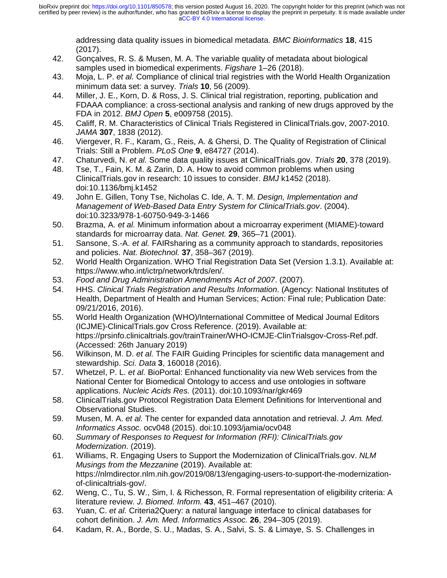addressing data quality issues in biomedical metadata. *BMC Bioinformatics* **18**, 415 (2017).

- 42. Gonçalves, R. S. & Musen, M. A. The variable quality of metadata about biological samples used in biomedical experiments. *Figshare* 1–26 (2018).
- 43. Moja, L. P. *et al.* Compliance of clinical trial registries with the World Health Organization minimum data set: a survey. *Trials* **10**, 56 (2009).
- 44. Miller, J. E., Korn, D. & Ross, J. S. Clinical trial registration, reporting, publication and FDAAA compliance: a cross-sectional analysis and ranking of new drugs approved by the FDA in 2012. *BMJ Open* **5**, e009758 (2015).
- 45. Califf, R. M. Characteristics of Clinical Trials Registered in ClinicalTrials.gov, 2007-2010. *JAMA* **307**, 1838 (2012).
- 46. Viergever, R. F., Karam, G., Reis, A. & Ghersi, D. The Quality of Registration of Clinical Trials: Still a Problem. *PLoS One* **9**, e84727 (2014).
- 47. Chaturvedi, N. *et al.* Some data quality issues at ClinicalTrials.gov. *Trials* **20**, 378 (2019).
- 48. Tse, T., Fain, K. M. & Zarin, D. A. How to avoid common problems when using ClinicalTrials.gov in research: 10 issues to consider. *BMJ* k1452 (2018). doi:10.1136/bmj.k1452
- 49. John E. Gillen, Tony Tse, Nicholas C. Ide, A. T. M. *Design, Implementation and Management of Web-Based Data Entry System for ClinicalTrials.gov*. (2004). doi:10.3233/978-1-60750-949-3-1466
- 50. Brazma, A. *et al.* Minimum information about a microarray experiment (MIAME)-toward standards for microarray data. *Nat. Genet.* **29**, 365–71 (2001).
- 51. Sansone, S.-A. *et al.* FAIRsharing as a community approach to standards, repositories and policies. *Nat. Biotechnol.* **37**, 358–367 (2019).
- 52. World Health Organization. WHO Trial Registration Data Set (Version 1.3.1). Available at: https://www.who.int/ictrp/network/trds/en/.
- 53. *Food and Drug Administration Amendments Act of 2007*. (2007).
- 54. HHS. *Clinical Trials Registration and Results Information*. (Agency: National Institutes of Health, Department of Health and Human Services; Action: Final rule; Publication Date: 09/21/2016, 2016).
- 55. World Health Organization (WHO)/International Committee of Medical Journal Editors (ICJME)-ClinicalTrials.gov Cross Reference. (2019). Available at: https://prsinfo.clinicaltrials.gov/trainTrainer/WHO-ICMJE-ClinTrialsgov-Cross-Ref.pdf. (Accessed: 26th January 2019)
- 56. Wilkinson, M. D. *et al.* The FAIR Guiding Principles for scientific data management and stewardship. *Sci. Data* **3**, 160018 (2016).
- 57. Whetzel, P. L. *et al.* BioPortal: Enhanced functionality via new Web services from the National Center for Biomedical Ontology to access and use ontologies in software applications. *Nucleic Acids Res.* (2011). doi:10.1093/nar/gkr469
- 58. ClinicalTrials.gov Protocol Registration Data Element Definitions for Interventional and Observational Studies.
- 59. Musen, M. A. *et al.* The center for expanded data annotation and retrieval. *J. Am. Med. Informatics Assoc.* ocv048 (2015). doi:10.1093/jamia/ocv048
- 60. *Summary of Responses to Request for Information (RFI): ClinicalTrials.gov Modernization*. (2019).
- 61. Williams, R. Engaging Users to Support the Modernization of ClinicalTrials.gov. *NLM Musings from the Mezzanine* (2019). Available at: https://nlmdirector.nlm.nih.gov/2019/08/13/engaging-users-to-support-the-modernizationof-clinicaltrials-gov/.
- 62. Weng, C., Tu, S. W., Sim, I. & Richesson, R. Formal representation of eligibility criteria: A literature review. *J. Biomed. Inform.* **43**, 451–467 (2010).
- 63. Yuan, C. *et al.* Criteria2Query: a natural language interface to clinical databases for cohort definition. *J. Am. Med. Informatics Assoc.* **26**, 294–305 (2019).
- 64. Kadam, R. A., Borde, S. U., Madas, S. A., Salvi, S. S. & Limaye, S. S. Challenges in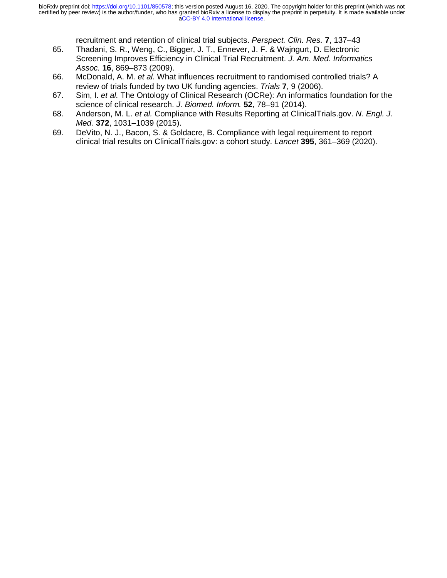recruitment and retention of clinical trial subjects. *Perspect. Clin. Res.* **7**, 137–43

- 65. Thadani, S. R., Weng, C., Bigger, J. T., Ennever, J. F. & Wajngurt, D. Electronic Screening Improves Efficiency in Clinical Trial Recruitment. *J. Am. Med. Informatics Assoc.* **16**, 869–873 (2009).
- 66. McDonald, A. M. *et al.* What influences recruitment to randomised controlled trials? A review of trials funded by two UK funding agencies. *Trials* **7**, 9 (2006).
- 67. Sim, I. *et al.* The Ontology of Clinical Research (OCRe): An informatics foundation for the science of clinical research. *J. Biomed. Inform.* **52**, 78–91 (2014).
- 68. Anderson, M. L. *et al.* Compliance with Results Reporting at ClinicalTrials.gov. *N. Engl. J. Med.* **372**, 1031–1039 (2015).
- 69. DeVito, N. J., Bacon, S. & Goldacre, B. Compliance with legal requirement to report clinical trial results on ClinicalTrials.gov: a cohort study. *Lancet* **395**, 361–369 (2020).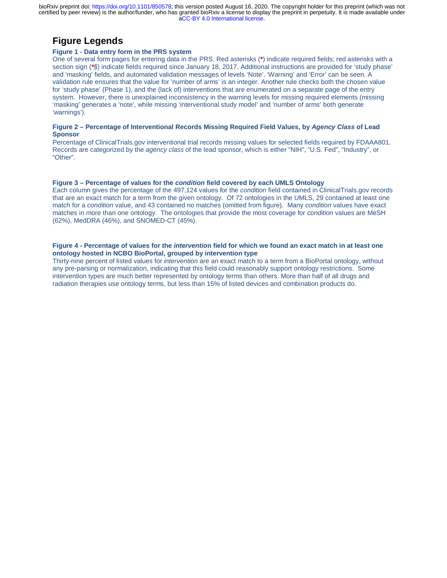## **Figure Legends**

#### **Figure 1 - Data entry form in the PRS system**

One of several form pages for entering data in the PRS. Red asterisks (**\***) indicate required fields; red asterisks with a section sign (*\*§*) indicate fields required since January 18, 2017. Additional instructions are provided for 'study phase' and 'masking' fields, and automated validation messages of levels 'Note', 'Warning' and 'Error' can be seen. A validation rule ensures that the value for 'number of arms' is an integer. Another rule checks both the chosen value for 'study phase' (Phase 1), and the (lack of) interventions that are enumerated on a separate page of the entry system. However, there is unexplained inconsistency in the warning levels for missing required elements (missing 'masking' generates a 'note', while missing 'interventional study model' and 'number of arms' both generate 'warnings').

#### **Figure 2 – Percentage of Interventional Records Missing Required Field Values, by** *Agency Class* **of Lead Sponsor**

Percentage of ClinicalTrials.gov interventional trial records missing values for selected fields required by FDAAA801. Records are categorized by the *agency class* of the lead sponsor, which is either "NIH", "U.S. Fed", "Industry", or "Other".

#### **Figure 3 – Percentage of values for the** *condition* **field covered by each UMLS Ontology**

Each column gives the percentage of the 497,124 values for the *condition* field contained in ClinicalTrials.gov records that are an exact match for a term from the given ontology. Of 72 ontologies in the UMLS, 29 contained at least one match for a *condition* value, and 43 contained no matches (omitted from figure). Many *condition* values have exact matches in more than one ontology. The ontologies that provide the most coverage for *condition* values are MeSH (62%), MedDRA (46%), and SNOMED-CT (45%).

#### **Figure 4 - Percentage of values for the** *interventio***n field for which we found an exact match in at least one ontology hosted in NCBO BioPortal, grouped by intervention type**

Thirty-nine percent of listed values for *intervention* are an exact match to a term from a BioPortal ontology, without any pre-parsing or normalization, indicating that this field could reasonably support ontology restrictions. Some intervention types are much better represented by ontology terms than others. More than half of all drugs and radiation therapies use ontology terms, but less than 15% of listed devices and combination products do.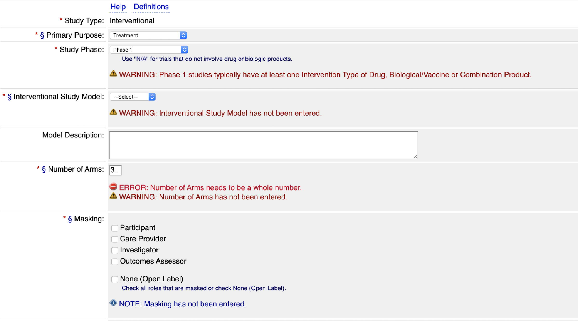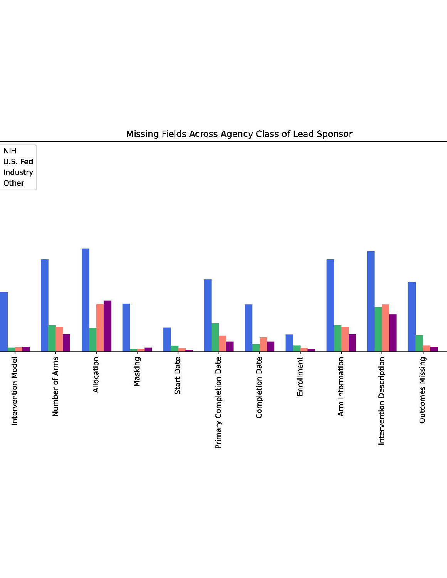

#### Missing Fields Across Agency Class of Lead Sponsor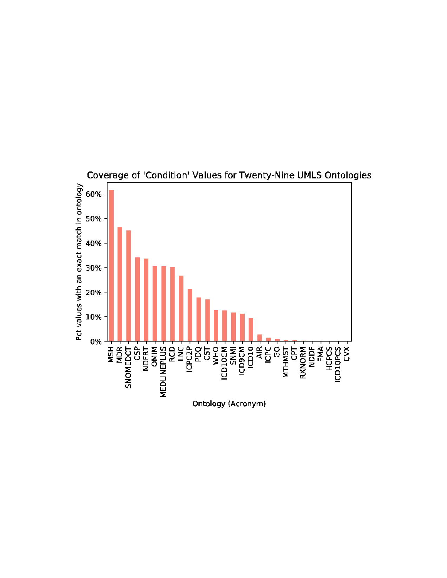